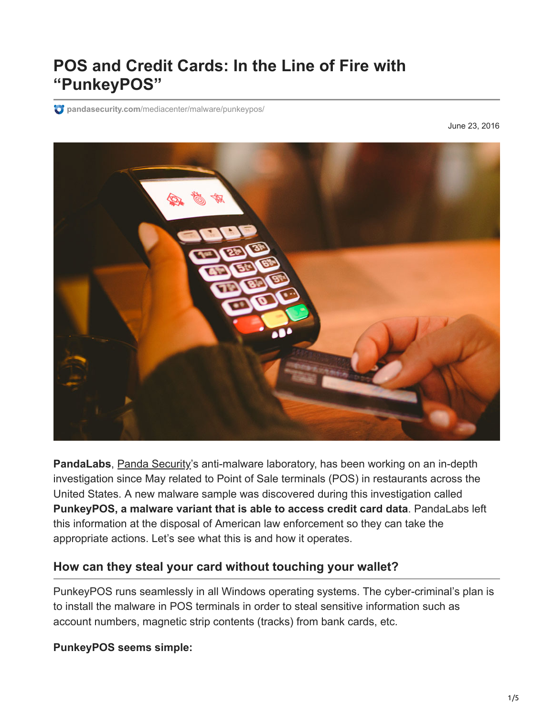# **POS and Credit Cards: In the Line of Fire with "PunkeyPOS"**

**pandasecurity.com**[/mediacenter/malware/punkeypos/](https://www.pandasecurity.com/mediacenter/malware/punkeypos/)

June 23, 2016



**PandaLabs**, [Panda Security](https://www.pandasecurity.com/)'s anti-malware laboratory, has been working on an in-depth investigation since May related to Point of Sale terminals (POS) in restaurants across the United States. A new malware sample was discovered during this investigation called **PunkeyPOS, a malware variant that is able to access credit card data**. PandaLabs left this information at the disposal of American law enforcement so they can take the appropriate actions. Let's see what this is and how it operates.

#### **How can they steal your card without touching your wallet?**

PunkeyPOS runs seamlessly in all Windows operating systems. The cyber-criminal's plan is to install the malware in POS terminals in order to steal sensitive information such as account numbers, magnetic strip contents (tracks) from bank cards, etc.

**PunkeyPOS seems simple:**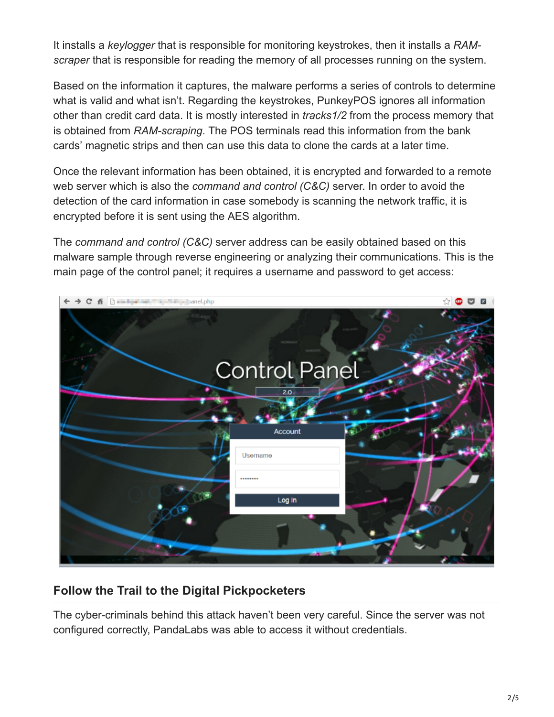It installs a *keylogger* that is responsible for monitoring keystrokes, then it installs a *RAMscraper* that is responsible for reading the memory of all processes running on the system.

Based on the information it captures, the malware performs a series of controls to determine what is valid and what isn't. Regarding the keystrokes, PunkeyPOS ignores all information other than credit card data. It is mostly interested in *tracks1/2* from the process memory that is obtained from *RAM-scraping*. The POS terminals read this information from the bank cards' magnetic strips and then can use this data to clone the cards at a later time.

Once the relevant information has been obtained, it is encrypted and forwarded to a remote web server which is also the *command and control (C&C)* server. In order to avoid the detection of the card information in case somebody is scanning the network traffic, it is encrypted before it is sent using the AES algorithm.

The *command and control (C&C)* server address can be easily obtained based on this malware sample through reverse engineering or analyzing their communications. This is the main page of the control panel; it requires a username and password to get access:



### **Follow the Trail to the Digital Pickpocketers**

The cyber-criminals behind this attack haven't been very careful. Since the server was not configured correctly, PandaLabs was able to access it without credentials.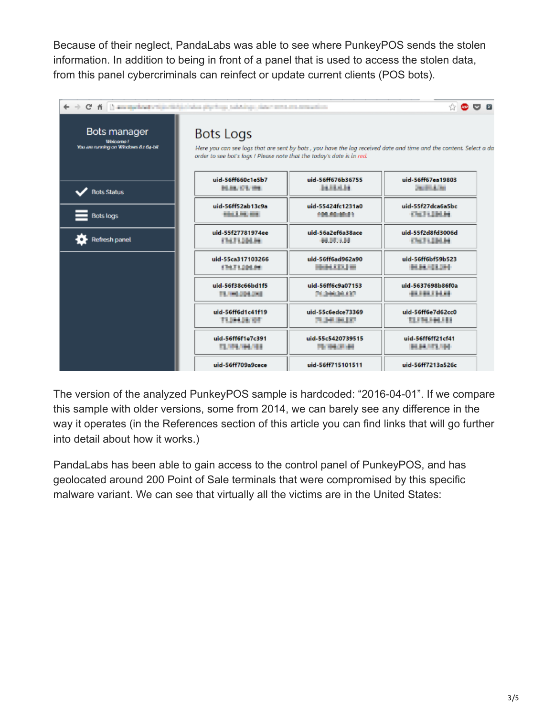Because of their neglect, PandaLabs was able to see where PunkeyPOS sends the stolen information. In addition to being in front of a panel that is used to access the stolen data, from this panel cybercriminals can reinfect or update current clients (POS bots).

| $\leftarrow$ $\rightarrow$ C $\land$ $\Box$ an exclusively expected in the physical contains the containing of the containing |                                                                                                                    |                      | 슈<br><b>REED</b>   |
|-------------------------------------------------------------------------------------------------------------------------------|--------------------------------------------------------------------------------------------------------------------|----------------------|--------------------|
| <b>Bots manager</b>                                                                                                           | <b>Bots Logs</b>                                                                                                   |                      |                    |
| Wiskcomo F                                                                                                                    | Here you can see logs that are sent by bots , you have the log received date and time and the content. Select a da |                      |                    |
| You are running on Windows 8.1 64-bit                                                                                         | order to see bot's logs ! Please note that the today's date is in red.                                             |                      |                    |
| Bots Status                                                                                                                   | uid-56ff660c1e5b7                                                                                                  | uid-56ff676b36755    | uid-56ff67ea19803  |
|                                                                                                                               | <b>M.M. CT. INC.</b>                                                                                               | 34,53,6134           | <b>Controller</b>  |
| <b>Bots logs</b>                                                                                                              | uid-56ff52ab13c9a                                                                                                  | uid-55424fc1231a0    | uid-55f27dca6a5bc  |
|                                                                                                                               | <b>MAIL 2. PEL 999</b>                                                                                             | 100.00.00.01         | <b>CALTILINUM</b>  |
| <b>Refresh panel</b>                                                                                                          | uid-55f27781974ee                                                                                                  | uid-56a2ef6a38ace    | uid-55f2d8fd3006d  |
|                                                                                                                               | FREE 1204.00                                                                                                       | <b><i>HULLER</i></b> | OUTLINE            |
|                                                                                                                               | uid-55ca317103266                                                                                                  | uid-56ff6ad962a90    | uid-56ff6bf59b523  |
|                                                                                                                               | 1747120104                                                                                                         | <b>HEALTH</b>        | <b>BLBL-13,244</b> |
|                                                                                                                               | uid-56f38c66bd1f5                                                                                                  | uid-56ff6c9a07153    | uid-5637698b86f0a  |
|                                                                                                                               | TL HE 204, 243                                                                                                     | 2030030.027          | 0110113010         |
|                                                                                                                               | uid-56ff6d1c41f19                                                                                                  | uid-55c6edce73369    | uid-56ff6e7d62cc0  |
|                                                                                                                               | TUNKER OF                                                                                                          | 71.340.00.077        | 11,114,144,181     |
|                                                                                                                               | uid-56ff6f1e7c391                                                                                                  | uid-55c5420739515    | uid-56ff6ff21cf41  |
|                                                                                                                               | 13, 194, 194, 194                                                                                                  | 75194.0144           | <b>BURNITURE</b>   |
|                                                                                                                               | uid-56ff709a9cece                                                                                                  | uid-56ff715101511    | uid-56ff7213a526c  |

The version of the analyzed PunkeyPOS sample is hardcoded: "2016-04-01". If we compare this sample with older versions, some from 2014, we can barely see any difference in the way it operates (in the References section of this article you can find links that will go further into detail about how it works.)

PandaLabs has been able to gain access to the control panel of PunkeyPOS, and has geolocated around 200 Point of Sale terminals that were compromised by this specific malware variant. We can see that virtually all the victims are in the United States: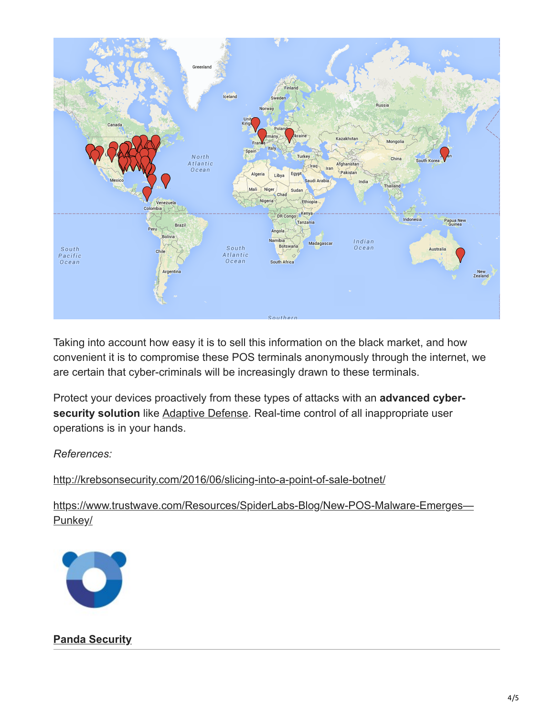

Taking into account how easy it is to sell this information on the black market, and how convenient it is to compromise these POS terminals anonymously through the internet, we are certain that cyber-criminals will be increasingly drawn to these terminals.

Protect your devices proactively from these types of attacks with an **advanced cyber-**security solution like [Adaptive Defense](https://www.pandasecurity.com/enterprise/solutions/adaptive-defense-360/). Real-time control of all inappropriate user operations is in your hands.

#### *References:*

<http://krebsonsecurity.com/2016/06/slicing-into-a-point-of-sale-botnet/>

[https://www.trustwave.com/Resources/SpiderLabs-Blog/New-POS-Malware-Emerges—](https://www.trustwave.com/Resources/SpiderLabs-Blog/New-POS-Malware-Emerges---Punkey/) Punkey/



#### **[Panda Security](https://www.pandasecurity.com/en/mediacenter/author/panda-security/)**